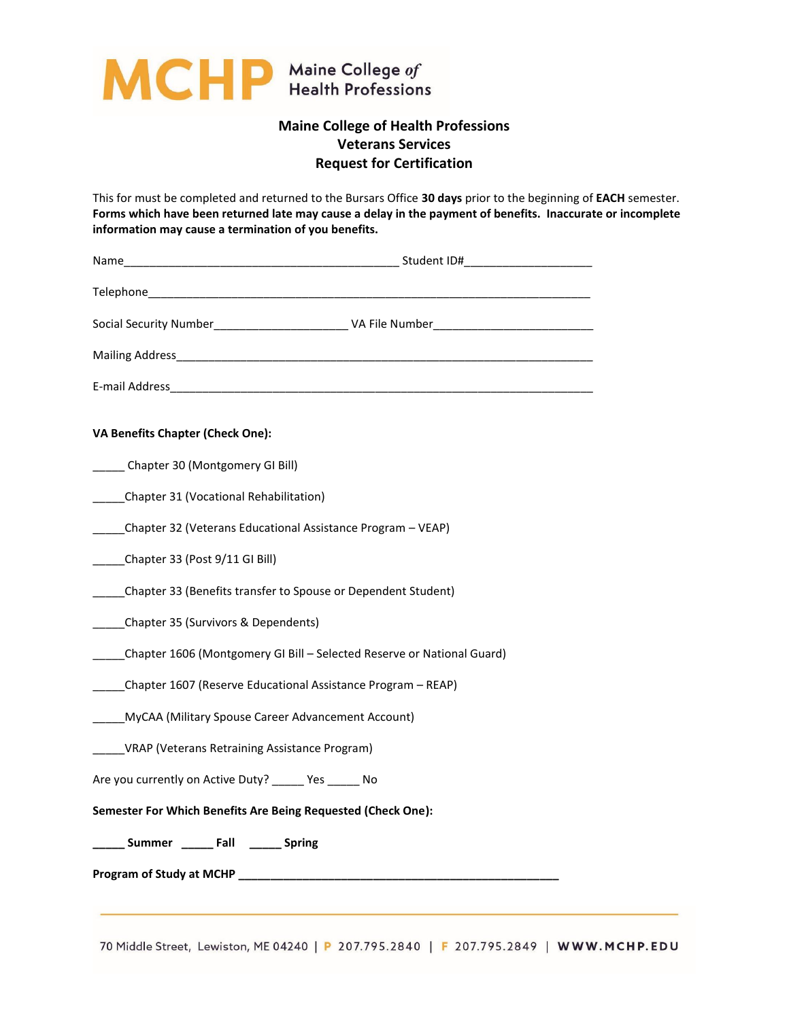

## **Maine College of Health Professions Veterans Services Request for Certification**

This for must be completed and returned to the Bursars Office **30 days** prior to the beginning of **EACH** semester. **Forms which have been returned late may cause a delay in the payment of benefits. Inaccurate or incomplete information may cause a termination of you benefits.**

| VA Benefits Chapter (Check One):                                       |  |  |
|------------------------------------------------------------------------|--|--|
| ______ Chapter 30 (Montgomery GI Bill)                                 |  |  |
| Chapter 31 (Vocational Rehabilitation)                                 |  |  |
| Chapter 32 (Veterans Educational Assistance Program - VEAP)            |  |  |
| Chapter 33 (Post 9/11 GI Bill)                                         |  |  |
| ____Chapter 33 (Benefits transfer to Spouse or Dependent Student)      |  |  |
| Chapter 35 (Survivors & Dependents)                                    |  |  |
| Chapter 1606 (Montgomery GI Bill - Selected Reserve or National Guard) |  |  |
| Chapter 1607 (Reserve Educational Assistance Program - REAP)           |  |  |
| MyCAA (Military Spouse Career Advancement Account)                     |  |  |
| VRAP (Veterans Retraining Assistance Program)                          |  |  |
| Are you currently on Active Duty? Yes No                               |  |  |
| Semester For Which Benefits Are Being Requested (Check One):           |  |  |
| _____ Summer ______ Fall ______ Spring                                 |  |  |
|                                                                        |  |  |

70 Middle Street, Lewiston, ME 04240 | P 207.795.2840 | F 207.795.2849 | WWW.MCHP.EDU